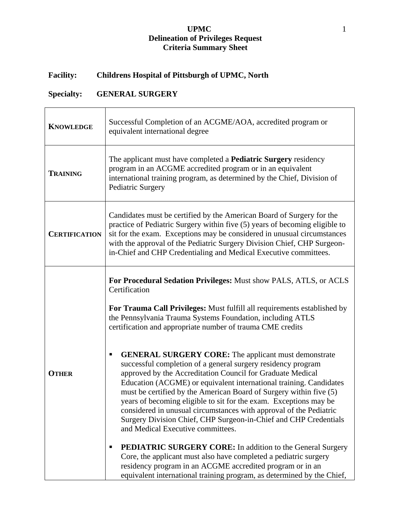### **UPMC** 1 **Delineation of Privileges Request Criteria Summary Sheet**

# **Facility: Childrens Hospital of Pittsburgh of UPMC, North**

# **Specialty: GENERAL SURGERY**

| <b>KNOWLEDGE</b>     | Successful Completion of an ACGME/AOA, accredited program or<br>equivalent international degree                                                                                                                                                                                                                                                                                                                                                                                                                                                                                                                                                                                                                                                                                                                                                         |
|----------------------|---------------------------------------------------------------------------------------------------------------------------------------------------------------------------------------------------------------------------------------------------------------------------------------------------------------------------------------------------------------------------------------------------------------------------------------------------------------------------------------------------------------------------------------------------------------------------------------------------------------------------------------------------------------------------------------------------------------------------------------------------------------------------------------------------------------------------------------------------------|
| <b>TRAINING</b>      | The applicant must have completed a <b>Pediatric Surgery</b> residency<br>program in an ACGME accredited program or in an equivalent<br>international training program, as determined by the Chief, Division of<br><b>Pediatric Surgery</b>                                                                                                                                                                                                                                                                                                                                                                                                                                                                                                                                                                                                             |
| <b>CERTIFICATION</b> | Candidates must be certified by the American Board of Surgery for the<br>practice of Pediatric Surgery within five (5) years of becoming eligible to<br>sit for the exam. Exceptions may be considered in unusual circumstances<br>with the approval of the Pediatric Surgery Division Chief, CHP Surgeon-<br>in-Chief and CHP Credentialing and Medical Executive committees.                                                                                                                                                                                                                                                                                                                                                                                                                                                                          |
| <b>OTHER</b>         | For Procedural Sedation Privileges: Must show PALS, ATLS, or ACLS<br>Certification<br>For Trauma Call Privileges: Must fulfill all requirements established by<br>the Pennsylvania Trauma Systems Foundation, including ATLS<br>certification and appropriate number of trauma CME credits<br><b>GENERAL SURGERY CORE:</b> The applicant must demonstrate<br>п<br>successful completion of a general surgery residency program<br>approved by the Accreditation Council for Graduate Medical<br>Education (ACGME) or equivalent international training. Candidates<br>must be certified by the American Board of Surgery within five (5)<br>years of becoming eligible to sit for the exam. Exceptions may be<br>considered in unusual circumstances with approval of the Pediatric<br>Surgery Division Chief, CHP Surgeon-in-Chief and CHP Credentials |
|                      | and Medical Executive committees.<br><b>PEDIATRIC SURGERY CORE:</b> In addition to the General Surgery<br>Core, the applicant must also have completed a pediatric surgery<br>residency program in an ACGME accredited program or in an<br>equivalent international training program, as determined by the Chief,                                                                                                                                                                                                                                                                                                                                                                                                                                                                                                                                       |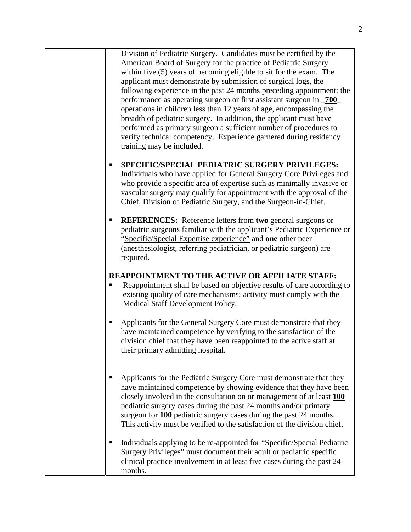Division of Pediatric Surgery. Candidates must be certified by the American Board of Surgery for the practice of Pediatric Surgery within five (5) years of becoming eligible to sit for the exam. The applicant must demonstrate by submission of surgical logs, the following experience in the past 24 months preceding appointment: the performance as operating surgeon or first assistant surgeon in \_**700**\_ operations in children less than 12 years of age, encompassing the breadth of pediatric surgery. In addition, the applicant must have performed as primary surgeon a sufficient number of procedures to verify technical competency. Experience garnered during residency training may be included.

## **SPECIFIC/SPECIAL PEDIATRIC SURGERY PRIVILEGES:**

Individuals who have applied for General Surgery Core Privileges and who provide a specific area of expertise such as minimally invasive or vascular surgery may qualify for appointment with the approval of the Chief, Division of Pediatric Surgery, and the Surgeon-in-Chief.

 **REFERENCES:** Reference letters from **two** general surgeons or pediatric surgeons familiar with the applicant's Pediatric Experience or "Specific/Special Expertise experience" and **one** other peer (anesthesiologist, referring pediatrician, or pediatric surgeon) are required.

## **REAPPOINTMENT TO THE ACTIVE OR AFFILIATE STAFF:**

- Reappointment shall be based on objective results of care according to existing quality of care mechanisms; activity must comply with the Medical Staff Development Policy.
- Applicants for the General Surgery Core must demonstrate that they have maintained competence by verifying to the satisfaction of the division chief that they have been reappointed to the active staff at their primary admitting hospital.
- Applicants for the Pediatric Surgery Core must demonstrate that they have maintained competence by showing evidence that they have been closely involved in the consultation on or management of at least **100** pediatric surgery cases during the past 24 months and/or primary surgeon for **100** pediatric surgery cases during the past 24 months. This activity must be verified to the satisfaction of the division chief.
- Individuals applying to be re-appointed for "Specific/Special Pediatric Surgery Privileges" must document their adult or pediatric specific clinical practice involvement in at least five cases during the past 24 months.